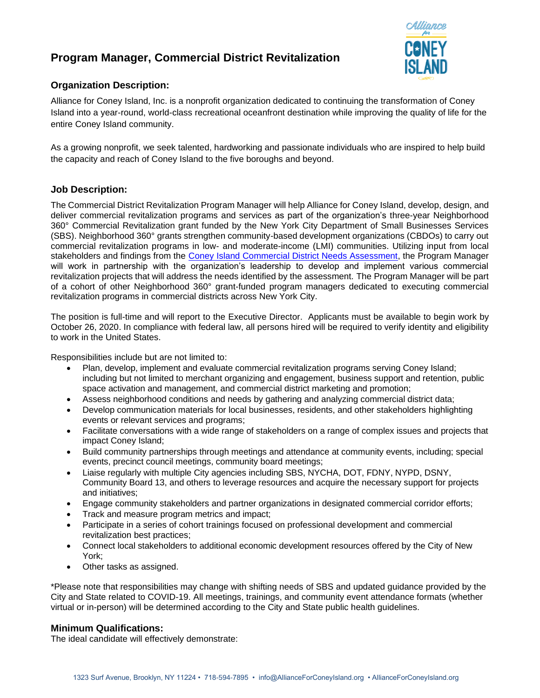# **Program Manager, Commercial District Revitalization**



# **Organization Description:**

Alliance for Coney Island, Inc. is a nonprofit organization dedicated to continuing the transformation of Coney Island into a year-round, world-class recreational oceanfront destination while improving the quality of life for the entire Coney Island community.

As a growing nonprofit, we seek talented, hardworking and passionate individuals who are inspired to help build the capacity and reach of Coney Island to the five boroughs and beyond.

## **Job Description:**

The Commercial District Revitalization Program Manager will help Alliance for Coney Island, develop, design, and deliver commercial revitalization programs and services as part of the organization's three-year Neighborhood 360° Commercial Revitalization grant funded by the New York City Department of Small Businesses Services (SBS). Neighborhood 360° grants strengthen community-based development organizations (CBDOs) to carry out commercial revitalization programs in low- and moderate-income (LMI) communities. Utilizing input from local stakeholders and findings from the [Coney Island Commercial District Needs Assessment,](https://www1.nyc.gov/assets/sbs/downloads/pdf/neighborhoods/n360-cdna-coney-island.pdf) the Program Manager will work in partnership with the organization's leadership to develop and implement various commercial revitalization projects that will address the needs identified by the assessment. The Program Manager will be part of a cohort of other Neighborhood 360° grant-funded program managers dedicated to executing commercial revitalization programs in commercial districts across New York City.

The position is full-time and will report to the Executive Director. Applicants must be available to begin work by October 26, 2020. In compliance with federal law, all persons hired will be required to verify identity and eligibility to work in the United States.

Responsibilities include but are not limited to:

- Plan, develop, implement and evaluate commercial revitalization programs serving Coney Island; including but not limited to merchant organizing and engagement, business support and retention, public space activation and management, and commercial district marketing and promotion;
- Assess neighborhood conditions and needs by gathering and analyzing commercial district data;
- Develop communication materials for local businesses, residents, and other stakeholders highlighting events or relevant services and programs;
- Facilitate conversations with a wide range of stakeholders on a range of complex issues and projects that impact Coney Island;
- Build community partnerships through meetings and attendance at community events, including; special events, precinct council meetings, community board meetings;
- Liaise regularly with multiple City agencies including SBS, NYCHA, DOT, FDNY, NYPD, DSNY, Community Board 13, and others to leverage resources and acquire the necessary support for projects and initiatives;
- Engage community stakeholders and partner organizations in designated commercial corridor efforts;
- Track and measure program metrics and impact;
- Participate in a series of cohort trainings focused on professional development and commercial revitalization best practices;
- Connect local stakeholders to additional economic development resources offered by the City of New York;
- Other tasks as assigned.

\*Please note that responsibilities may change with shifting needs of SBS and updated guidance provided by the City and State related to COVID-19. All meetings, trainings, and community event attendance formats (whether virtual or in-person) will be determined according to the City and State public health guidelines.

#### **Minimum Qualifications:**

The ideal candidate will effectively demonstrate: